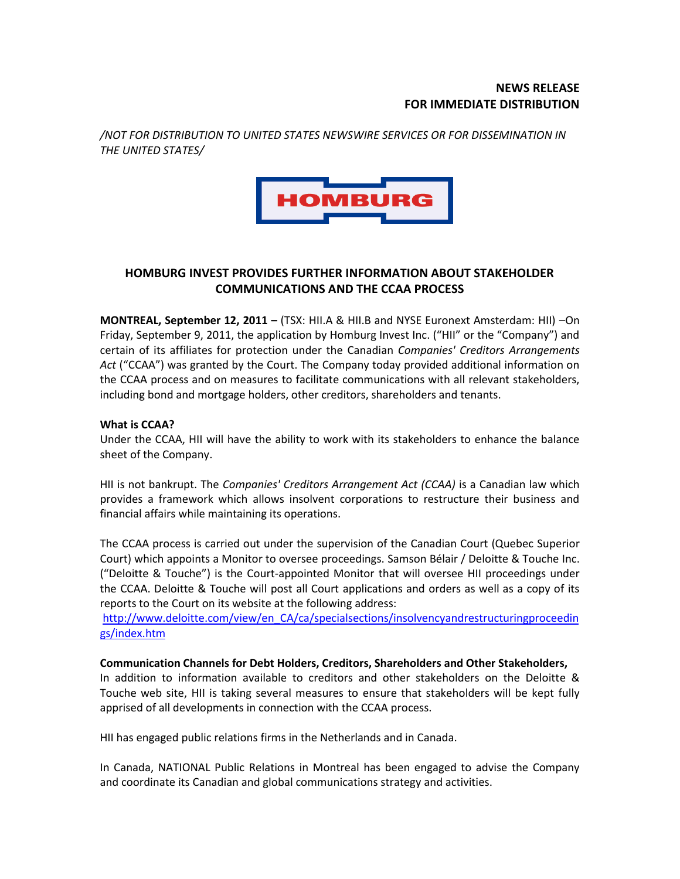## **NEWS RELEASE FOR IMMEDIATE DISTRIBUTION**

*/NOT FOR DISTRIBUTION TO UNITED STATES NEWSWIRE SERVICES OR FOR DISSEMINATION IN THE UNITED STATES/*



# **HOMBURG INVEST PROVIDES FURTHER INFORMATION ABOUT STAKEHOLDER COMMUNICATIONS AND THE CCAA PROCESS**

**MONTREAL, September 12, 2011 –** (TSX: HII.A & HII.B and NYSE Euronext Amsterdam: HII) –On Friday, September 9, 2011, the application by Homburg Invest Inc. ("HII" or the "Company") and certain of its affiliates for protection under the Canadian *Companies' Creditors Arrangements Act* ("CCAA") was granted by the Court. The Company today provided additional information on the CCAA process and on measures to facilitate communications with all relevant stakeholders, including bond and mortgage holders, other creditors, shareholders and tenants.

## **What is CCAA?**

Under the CCAA, HII will have the ability to work with its stakeholders to enhance the balance sheet of the Company.

HII is not bankrupt. The *Companies' Creditors Arrangement Act (CCAA)* is a Canadian law which provides a framework which allows insolvent corporations to restructure their business and financial affairs while maintaining its operations.

The CCAA process is carried out under the supervision of the Canadian Court (Quebec Superior Court) which appoints a Monitor to oversee proceedings. Samson Bélair / Deloitte & Touche Inc. ("Deloitte & Touche") is the Court-appointed Monitor that will oversee HII proceedings under the CCAA. Deloitte & Touche will post all Court applications and orders as well as a copy of its reports to the Court on its website at the following address:

[http://www.deloitte.com/view/en\\_CA/ca/specialsections/insolvencyandrestructuringproceedin](https://webmail.mtl.national.ca/OWA/redir.aspx?C=5f69446c5da64e32942ef2b17d4674b7&URL=http%3a%2f%2fwww.deloitte.com%2fview%2fen_CA%2fca%2fspecialsections%2finsolvencyandrestructuringproceedings%2findex.htm) [gs/index.htm](https://webmail.mtl.national.ca/OWA/redir.aspx?C=5f69446c5da64e32942ef2b17d4674b7&URL=http%3a%2f%2fwww.deloitte.com%2fview%2fen_CA%2fca%2fspecialsections%2finsolvencyandrestructuringproceedings%2findex.htm)

#### **Communication Channels for Debt Holders, Creditors, Shareholders and Other Stakeholders,**

In addition to information available to creditors and other stakeholders on the Deloitte & Touche web site, HII is taking several measures to ensure that stakeholders will be kept fully apprised of all developments in connection with the CCAA process.

HII has engaged public relations firms in the Netherlands and in Canada.

In Canada, NATIONAL Public Relations in Montreal has been engaged to advise the Company and coordinate its Canadian and global communications strategy and activities.